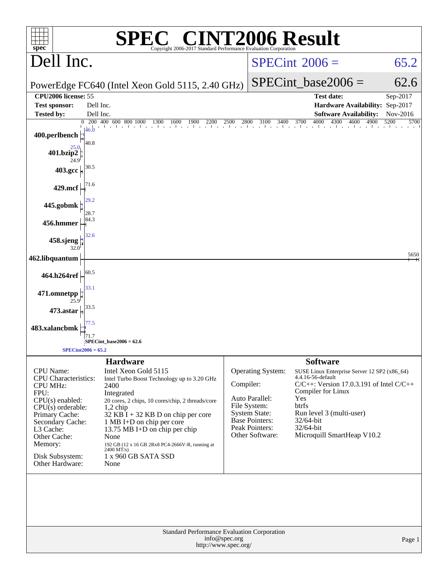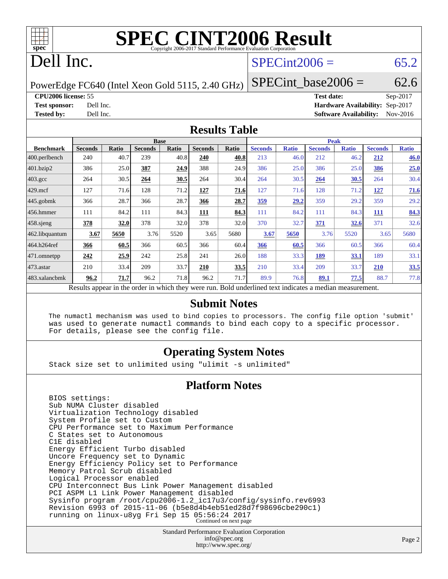

## Dell Inc.

## $SPECint2006 = 65.2$  $SPECint2006 = 65.2$

PowerEdge FC640 (Intel Xeon Gold 5115, 2.40 GHz)

**[Test sponsor:](http://www.spec.org/auto/cpu2006/Docs/result-fields.html#Testsponsor)** Dell Inc. **[Hardware Availability:](http://www.spec.org/auto/cpu2006/Docs/result-fields.html#HardwareAvailability)** Sep-2017

 $SPECTnt\_base2006 = 62.6$ **[CPU2006 license:](http://www.spec.org/auto/cpu2006/Docs/result-fields.html#CPU2006license)** 55 **[Test date:](http://www.spec.org/auto/cpu2006/Docs/result-fields.html#Testdate)** Sep-2017

**[Tested by:](http://www.spec.org/auto/cpu2006/Docs/result-fields.html#Testedby)** Dell Inc. **[Software Availability:](http://www.spec.org/auto/cpu2006/Docs/result-fields.html#SoftwareAvailability)** Nov-2016 **[Results Table](http://www.spec.org/auto/cpu2006/Docs/result-fields.html#ResultsTable)**

|                         | <b>Base</b>                                                                                              |       |                |       | <b>Peak</b>    |       |                |              |                |              |                |              |
|-------------------------|----------------------------------------------------------------------------------------------------------|-------|----------------|-------|----------------|-------|----------------|--------------|----------------|--------------|----------------|--------------|
| <b>Benchmark</b>        | <b>Seconds</b>                                                                                           | Ratio | <b>Seconds</b> | Ratio | <b>Seconds</b> | Ratio | <b>Seconds</b> | <b>Ratio</b> | <b>Seconds</b> | <b>Ratio</b> | <b>Seconds</b> | <b>Ratio</b> |
| $ 400.\text{perlbench}$ | 240                                                                                                      | 40.7  | 239            | 40.8  | 240            | 40.8  | 213            | 46.0         | 212            | 46.2         | 212            | 46.0         |
| 401.bzip2               | 386                                                                                                      | 25.0  | 387            | 24.9  | 388            | 24.9  | 386            | 25.0         | 386            | 25.0         | 386            | 25.0         |
| $403.\mathrm{gcc}$      | 264                                                                                                      | 30.5  | 264            | 30.5  | 264            | 30.4  | 264            | 30.5         | 264            | 30.5         | 264            | 30.4         |
| $429$ .mcf              | 127                                                                                                      | 71.6  | 128            | 71.2  | 127            | 71.6  | 127            | 71.6         | 128            | 71.2         | 127            | 71.6         |
| $445$ .gobmk            | 366                                                                                                      | 28.7  | 366            | 28.7  | 366            | 28.7  | <u>359</u>     | 29.2         | 359            | 29.2         | 359            | 29.2         |
| $456.$ hmmer            | 111                                                                                                      | 84.2  | 111            | 84.3  | <b>111</b>     | 84.3  | 111            | 84.2         | 111            | 84.3         | 111            | 84.3         |
| $458$ .sjeng            | 378                                                                                                      | 32.0  | 378            | 32.0  | 378            | 32.0  | 370            | 32.7         | <b>371</b>     | <u>32.6</u>  | 371            | 32.6         |
| 462.libquantum          | 3.67                                                                                                     | 5650  | 3.76           | 5520  | 3.65           | 5680  | 3.67           | 5650         | 3.76           | 5520         | 3.65           | 5680         |
| 464.h264ref             | 366                                                                                                      | 60.5  | 366            | 60.5  | 366            | 60.4  | 366            | 60.5         | 366            | 60.5         | 366            | 60.4         |
| 471.omnetpp             | 242                                                                                                      | 25.9  | 242            | 25.8  | 241            | 26.0  | 188            | 33.3         | 189            | 33.1         | 189            | 33.1         |
| $473.$ astar            | 210                                                                                                      | 33.4  | 209            | 33.7  | 210            | 33.5  | 210            | 33.4         | 209            | 33.7         | 210            | 33.5         |
| 483.xalancbmk           | 96.2                                                                                                     | 71.7  | 96.2           | 71.8  | 96.2           | 71.7  | 89.9           | 76.8         | 89.1           | 77.5         | 88.7           | 77.8         |
|                         | Results appear in the order in which they were run. Bold underlined text indicates a median measurement. |       |                |       |                |       |                |              |                |              |                |              |

### **[Submit Notes](http://www.spec.org/auto/cpu2006/Docs/result-fields.html#SubmitNotes)**

 The numactl mechanism was used to bind copies to processors. The config file option 'submit' was used to generate numactl commands to bind each copy to a specific processor. For details, please see the config file.

### **[Operating System Notes](http://www.spec.org/auto/cpu2006/Docs/result-fields.html#OperatingSystemNotes)**

Stack size set to unlimited using "ulimit -s unlimited"

### **[Platform Notes](http://www.spec.org/auto/cpu2006/Docs/result-fields.html#PlatformNotes)**

 BIOS settings: Sub NUMA Cluster disabled Virtualization Technology disabled System Profile set to Custom CPU Performance set to Maximum Performance C States set to Autonomous C1E disabled Energy Efficient Turbo disabled Uncore Frequency set to Dynamic Energy Efficiency Policy set to Performance Memory Patrol Scrub disabled Logical Processor enabled CPU Interconnect Bus Link Power Management disabled PCI ASPM L1 Link Power Management disabled Sysinfo program /root/cpu2006-1.2\_ic17u3/config/sysinfo.rev6993 Revision 6993 of 2015-11-06 (b5e8d4b4eb51ed28d7f98696cbe290c1) running on linux-u8yg Fri Sep 15 05:56:24 2017 Continued on next page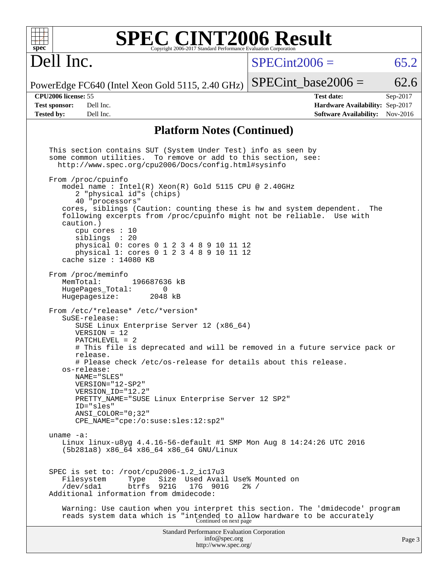| spec <sup>®</sup>    | <b>SPEC CINT2006 Result</b><br>Copyright 2006-2017 Standard Performance Evaluation Corporation                                                                                         |                                 |          |
|----------------------|----------------------------------------------------------------------------------------------------------------------------------------------------------------------------------------|---------------------------------|----------|
| Dell Inc.            |                                                                                                                                                                                        | $SPECint2006 =$                 | 65.2     |
|                      | PowerEdge FC640 (Intel Xeon Gold 5115, 2.40 GHz)                                                                                                                                       | $SPECint base2006 =$            | 62.6     |
| CPU2006 license: 55  |                                                                                                                                                                                        | <b>Test date:</b>               | Sep-2017 |
| <b>Test sponsor:</b> | Dell Inc.                                                                                                                                                                              | Hardware Availability: Sep-2017 |          |
| <b>Tested by:</b>    | Dell Inc.                                                                                                                                                                              | <b>Software Availability:</b>   | Nov-2016 |
|                      | <b>Platform Notes (Continued)</b>                                                                                                                                                      |                                 |          |
|                      | This section contains SUT (System Under Test) info as seen by<br>some common utilities. To remove or add to this section, see:<br>http://www.spec.org/cpu2006/Docs/config.html#sysinfo |                                 |          |
|                      | From /proc/cpuinfo<br>model name : Intel(R) Xeon(R) Gold 5115 CPU @ 2.40GHz<br>2 "physical id"s (chips)<br>40 "processors"                                                             |                                 |          |
|                      | cores, siblings (Caution: counting these is hw and system dependent.<br>following excerpts from /proc/cpuinfo might not be reliable. Use with<br>caution.)<br>cpu cores $: 10$         | The                             |          |
|                      | siblings : 20<br>physical 0: cores 0 1 2 3 4 8 9 10 11 12<br>physical 1: cores 0 1 2 3 4 8 9 10 11 12<br>cache size : 14080 KB                                                         |                                 |          |
|                      | From /proc/meminfo<br>MemTotal:<br>196687636 kB<br>HugePages Total:<br>0<br>Hugepagesize:<br>2048 kB                                                                                   |                                 |          |
|                      | From /etc/*release* /etc/*version*<br>SuSE-release:<br>SUSE Linux Enterprise Server 12 (x86_64)<br>$VERSION = 12$                                                                      |                                 |          |
|                      | $PATCHLEVEL = 2$<br># This file is deprecated and will be removed in a future service pack or<br>release.                                                                              |                                 |          |
|                      | # Please check /etc/os-release for details about this release.<br>os-release:<br>NAME="SLES"                                                                                           |                                 |          |
|                      | VERSION="12-SP2"<br>VERSION ID="12.2"<br>PRETTY_NAME="SUSE Linux Enterprise Server 12 SP2"                                                                                             |                                 |          |
|                      | ID="sles"<br>$ANSI$ _COLOR=" $0:32$ "<br>CPE NAME="cpe:/o:suse:sles:12:sp2"                                                                                                            |                                 |          |
|                      | uname $-a$ :<br>Linux linux-u8yg $4.4.16 - 56 - \text{default} #1$ SMP Mon Aug 8 14:24:26 UTC 2016<br>(5b281a8) x86_64 x86_64 x86_64 GNU/Linux                                         |                                 |          |
|                      | SPEC is set to: /root/cpu2006-1.2_ic17u3<br>Size Used Avail Use% Mounted on<br>Filesystem<br>Type<br>btrfs 921G<br>/dev/sda1<br>17G 901G<br>Additional information from dmidecode:     | $2\frac{8}{1}$ /                |          |
|                      | Warning: Use caution when you interpret this section. The 'dmidecode' program<br>reads system data which is "intended to allow hardware to be accurately<br>Continued on next page     |                                 |          |
|                      | <b>Standard Performance Evaluation Corporation</b><br>info@spec.org<br>http://www.spec.org/                                                                                            |                                 | Page 3   |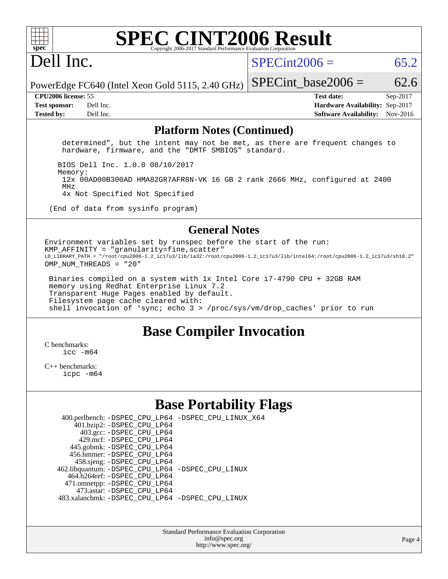

# Dell Inc.

 $SPECint2006 = 65.2$  $SPECint2006 = 65.2$ 

PowerEdge FC640 (Intel Xeon Gold 5115, 2.40 GHz) SPECint base2006 =  $62.6$ 

**[CPU2006 license:](http://www.spec.org/auto/cpu2006/Docs/result-fields.html#CPU2006license)** 55 **[Test date:](http://www.spec.org/auto/cpu2006/Docs/result-fields.html#Testdate)** Sep-2017 **[Test sponsor:](http://www.spec.org/auto/cpu2006/Docs/result-fields.html#Testsponsor)** Dell Inc. **[Hardware Availability:](http://www.spec.org/auto/cpu2006/Docs/result-fields.html#HardwareAvailability)** Sep-2017 **[Tested by:](http://www.spec.org/auto/cpu2006/Docs/result-fields.html#Testedby)** Dell Inc. **[Software Availability:](http://www.spec.org/auto/cpu2006/Docs/result-fields.html#SoftwareAvailability)** Nov-2016

### **[Platform Notes \(Continued\)](http://www.spec.org/auto/cpu2006/Docs/result-fields.html#PlatformNotes)**

 determined", but the intent may not be met, as there are frequent changes to hardware, firmware, and the "DMTF SMBIOS" standard.

BIOS Dell Inc. 1.0.0 08/10/2017

Memory:

 12x 00AD00B300AD HMA82GR7AFR8N-VK 16 GB 2 rank 2666 MHz, configured at 2400 MHz

4x Not Specified Not Specified

(End of data from sysinfo program)

### **[General Notes](http://www.spec.org/auto/cpu2006/Docs/result-fields.html#GeneralNotes)**

Environment variables set by runspec before the start of the run:  $KMP_AFFINITY = "granularity=fine, scatter"$ LD\_LIBRARY\_PATH = "/root/cpu2006-1.2\_ic17u3/lib/ia32:/root/cpu2006-1.2\_ic17u3/lib/intel64:/root/cpu2006-1.2\_ic17u3/sh10.2" OMP NUM THREADS = "20"

 Binaries compiled on a system with 1x Intel Core i7-4790 CPU + 32GB RAM memory using Redhat Enterprise Linux 7.2 Transparent Huge Pages enabled by default. Filesystem page cache cleared with: shell invocation of 'sync; echo 3 > /proc/sys/vm/drop\_caches' prior to run

### **[Base Compiler Invocation](http://www.spec.org/auto/cpu2006/Docs/result-fields.html#BaseCompilerInvocation)**

[C benchmarks](http://www.spec.org/auto/cpu2006/Docs/result-fields.html#Cbenchmarks):  $\text{icc}$   $-\text{m64}$ 

[C++ benchmarks:](http://www.spec.org/auto/cpu2006/Docs/result-fields.html#CXXbenchmarks) [icpc -m64](http://www.spec.org/cpu2006/results/res2017q4/cpu2006-20170918-49917.flags.html#user_CXXbase_intel_icpc_64bit_fc66a5337ce925472a5c54ad6a0de310)

### **[Base Portability Flags](http://www.spec.org/auto/cpu2006/Docs/result-fields.html#BasePortabilityFlags)**

| 400.perlbench: -DSPEC_CPU_LP64 -DSPEC_CPU_LINUX_X64 |  |
|-----------------------------------------------------|--|
| 401.bzip2: -DSPEC_CPU_LP64                          |  |
| 403.gcc: -DSPEC_CPU_LP64                            |  |
| 429.mcf: -DSPEC CPU LP64                            |  |
| 445.gobmk: -DSPEC_CPU_LP64                          |  |
| 456.hmmer: - DSPEC CPU LP64                         |  |
| 458.sjeng: -DSPEC_CPU_LP64                          |  |
| 462.libquantum: -DSPEC_CPU_LP64 -DSPEC_CPU_LINUX    |  |
| 464.h264ref: -DSPEC CPU LP64                        |  |
| 471.omnetpp: -DSPEC_CPU_LP64                        |  |
| 473.astar: -DSPEC CPU LP64                          |  |
| 483.xalancbmk: - DSPEC CPU LP64 - DSPEC CPU LINUX   |  |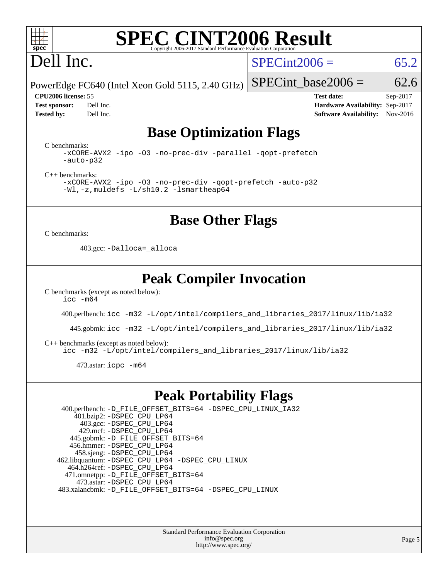

# Dell Inc.

 $SPECint2006 = 65.2$  $SPECint2006 = 65.2$ 

PowerEdge FC640 (Intel Xeon Gold 5115, 2.40 GHz) SPECint base2006 =  $62.6$ 

**[CPU2006 license:](http://www.spec.org/auto/cpu2006/Docs/result-fields.html#CPU2006license)** 55 **[Test date:](http://www.spec.org/auto/cpu2006/Docs/result-fields.html#Testdate)** Sep-2017 **[Test sponsor:](http://www.spec.org/auto/cpu2006/Docs/result-fields.html#Testsponsor)** Dell Inc. **[Hardware Availability:](http://www.spec.org/auto/cpu2006/Docs/result-fields.html#HardwareAvailability)** Sep-2017 **[Tested by:](http://www.spec.org/auto/cpu2006/Docs/result-fields.html#Testedby)** Dell Inc. **[Software Availability:](http://www.spec.org/auto/cpu2006/Docs/result-fields.html#SoftwareAvailability)** Nov-2016

## **[Base Optimization Flags](http://www.spec.org/auto/cpu2006/Docs/result-fields.html#BaseOptimizationFlags)**

[C benchmarks](http://www.spec.org/auto/cpu2006/Docs/result-fields.html#Cbenchmarks):

[-xCORE-AVX2](http://www.spec.org/cpu2006/results/res2017q4/cpu2006-20170918-49917.flags.html#user_CCbase_f-xCORE-AVX2) [-ipo](http://www.spec.org/cpu2006/results/res2017q4/cpu2006-20170918-49917.flags.html#user_CCbase_f-ipo) [-O3](http://www.spec.org/cpu2006/results/res2017q4/cpu2006-20170918-49917.flags.html#user_CCbase_f-O3) [-no-prec-div](http://www.spec.org/cpu2006/results/res2017q4/cpu2006-20170918-49917.flags.html#user_CCbase_f-no-prec-div) [-parallel](http://www.spec.org/cpu2006/results/res2017q4/cpu2006-20170918-49917.flags.html#user_CCbase_f-parallel) [-qopt-prefetch](http://www.spec.org/cpu2006/results/res2017q4/cpu2006-20170918-49917.flags.html#user_CCbase_f-qopt-prefetch) [-auto-p32](http://www.spec.org/cpu2006/results/res2017q4/cpu2006-20170918-49917.flags.html#user_CCbase_f-auto-p32)

[C++ benchmarks:](http://www.spec.org/auto/cpu2006/Docs/result-fields.html#CXXbenchmarks)

[-xCORE-AVX2](http://www.spec.org/cpu2006/results/res2017q4/cpu2006-20170918-49917.flags.html#user_CXXbase_f-xCORE-AVX2) [-ipo](http://www.spec.org/cpu2006/results/res2017q4/cpu2006-20170918-49917.flags.html#user_CXXbase_f-ipo) [-O3](http://www.spec.org/cpu2006/results/res2017q4/cpu2006-20170918-49917.flags.html#user_CXXbase_f-O3) [-no-prec-div](http://www.spec.org/cpu2006/results/res2017q4/cpu2006-20170918-49917.flags.html#user_CXXbase_f-no-prec-div) [-qopt-prefetch](http://www.spec.org/cpu2006/results/res2017q4/cpu2006-20170918-49917.flags.html#user_CXXbase_f-qopt-prefetch) [-auto-p32](http://www.spec.org/cpu2006/results/res2017q4/cpu2006-20170918-49917.flags.html#user_CXXbase_f-auto-p32) [-Wl,-z,muldefs](http://www.spec.org/cpu2006/results/res2017q4/cpu2006-20170918-49917.flags.html#user_CXXbase_link_force_multiple1_74079c344b956b9658436fd1b6dd3a8a) [-L/sh10.2 -lsmartheap64](http://www.spec.org/cpu2006/results/res2017q4/cpu2006-20170918-49917.flags.html#user_CXXbase_SmartHeap64_63911d860fc08c15fa1d5bf319b9d8d5)

**[Base Other Flags](http://www.spec.org/auto/cpu2006/Docs/result-fields.html#BaseOtherFlags)**

[C benchmarks](http://www.spec.org/auto/cpu2006/Docs/result-fields.html#Cbenchmarks):

403.gcc: [-Dalloca=\\_alloca](http://www.spec.org/cpu2006/results/res2017q4/cpu2006-20170918-49917.flags.html#b403.gcc_baseEXTRA_CFLAGS_Dalloca_be3056838c12de2578596ca5467af7f3)

### **[Peak Compiler Invocation](http://www.spec.org/auto/cpu2006/Docs/result-fields.html#PeakCompilerInvocation)**

[C benchmarks \(except as noted below\)](http://www.spec.org/auto/cpu2006/Docs/result-fields.html#Cbenchmarksexceptasnotedbelow):  $\text{icc } -\text{m64}$ 

400.perlbench: [icc -m32 -L/opt/intel/compilers\\_and\\_libraries\\_2017/linux/lib/ia32](http://www.spec.org/cpu2006/results/res2017q4/cpu2006-20170918-49917.flags.html#user_peakCCLD400_perlbench_intel_icc_c29f3ff5a7ed067b11e4ec10a03f03ae)

445.gobmk: [icc -m32 -L/opt/intel/compilers\\_and\\_libraries\\_2017/linux/lib/ia32](http://www.spec.org/cpu2006/results/res2017q4/cpu2006-20170918-49917.flags.html#user_peakCCLD445_gobmk_intel_icc_c29f3ff5a7ed067b11e4ec10a03f03ae)

[C++ benchmarks \(except as noted below\):](http://www.spec.org/auto/cpu2006/Docs/result-fields.html#CXXbenchmarksexceptasnotedbelow)

[icc -m32 -L/opt/intel/compilers\\_and\\_libraries\\_2017/linux/lib/ia32](http://www.spec.org/cpu2006/results/res2017q4/cpu2006-20170918-49917.flags.html#user_CXXpeak_intel_icc_c29f3ff5a7ed067b11e4ec10a03f03ae)

473.astar: [icpc -m64](http://www.spec.org/cpu2006/results/res2017q4/cpu2006-20170918-49917.flags.html#user_peakCXXLD473_astar_intel_icpc_64bit_fc66a5337ce925472a5c54ad6a0de310)

### **[Peak Portability Flags](http://www.spec.org/auto/cpu2006/Docs/result-fields.html#PeakPortabilityFlags)**

 400.perlbench: [-D\\_FILE\\_OFFSET\\_BITS=64](http://www.spec.org/cpu2006/results/res2017q4/cpu2006-20170918-49917.flags.html#user_peakPORTABILITY400_perlbench_file_offset_bits_64_438cf9856305ebd76870a2c6dc2689ab) [-DSPEC\\_CPU\\_LINUX\\_IA32](http://www.spec.org/cpu2006/results/res2017q4/cpu2006-20170918-49917.flags.html#b400.perlbench_peakCPORTABILITY_DSPEC_CPU_LINUX_IA32) 401.bzip2: [-DSPEC\\_CPU\\_LP64](http://www.spec.org/cpu2006/results/res2017q4/cpu2006-20170918-49917.flags.html#suite_peakPORTABILITY401_bzip2_DSPEC_CPU_LP64) 403.gcc: [-DSPEC\\_CPU\\_LP64](http://www.spec.org/cpu2006/results/res2017q4/cpu2006-20170918-49917.flags.html#suite_peakPORTABILITY403_gcc_DSPEC_CPU_LP64) 429.mcf: [-DSPEC\\_CPU\\_LP64](http://www.spec.org/cpu2006/results/res2017q4/cpu2006-20170918-49917.flags.html#suite_peakPORTABILITY429_mcf_DSPEC_CPU_LP64) 445.gobmk: [-D\\_FILE\\_OFFSET\\_BITS=64](http://www.spec.org/cpu2006/results/res2017q4/cpu2006-20170918-49917.flags.html#user_peakPORTABILITY445_gobmk_file_offset_bits_64_438cf9856305ebd76870a2c6dc2689ab) 456.hmmer: [-DSPEC\\_CPU\\_LP64](http://www.spec.org/cpu2006/results/res2017q4/cpu2006-20170918-49917.flags.html#suite_peakPORTABILITY456_hmmer_DSPEC_CPU_LP64) 458.sjeng: [-DSPEC\\_CPU\\_LP64](http://www.spec.org/cpu2006/results/res2017q4/cpu2006-20170918-49917.flags.html#suite_peakPORTABILITY458_sjeng_DSPEC_CPU_LP64) 462.libquantum: [-DSPEC\\_CPU\\_LP64](http://www.spec.org/cpu2006/results/res2017q4/cpu2006-20170918-49917.flags.html#suite_peakPORTABILITY462_libquantum_DSPEC_CPU_LP64) [-DSPEC\\_CPU\\_LINUX](http://www.spec.org/cpu2006/results/res2017q4/cpu2006-20170918-49917.flags.html#b462.libquantum_peakCPORTABILITY_DSPEC_CPU_LINUX) 464.h264ref: [-DSPEC\\_CPU\\_LP64](http://www.spec.org/cpu2006/results/res2017q4/cpu2006-20170918-49917.flags.html#suite_peakPORTABILITY464_h264ref_DSPEC_CPU_LP64) 471.omnetpp: [-D\\_FILE\\_OFFSET\\_BITS=64](http://www.spec.org/cpu2006/results/res2017q4/cpu2006-20170918-49917.flags.html#user_peakPORTABILITY471_omnetpp_file_offset_bits_64_438cf9856305ebd76870a2c6dc2689ab) 473.astar: [-DSPEC\\_CPU\\_LP64](http://www.spec.org/cpu2006/results/res2017q4/cpu2006-20170918-49917.flags.html#suite_peakPORTABILITY473_astar_DSPEC_CPU_LP64) 483.xalancbmk: [-D\\_FILE\\_OFFSET\\_BITS=64](http://www.spec.org/cpu2006/results/res2017q4/cpu2006-20170918-49917.flags.html#user_peakPORTABILITY483_xalancbmk_file_offset_bits_64_438cf9856305ebd76870a2c6dc2689ab) [-DSPEC\\_CPU\\_LINUX](http://www.spec.org/cpu2006/results/res2017q4/cpu2006-20170918-49917.flags.html#b483.xalancbmk_peakCXXPORTABILITY_DSPEC_CPU_LINUX)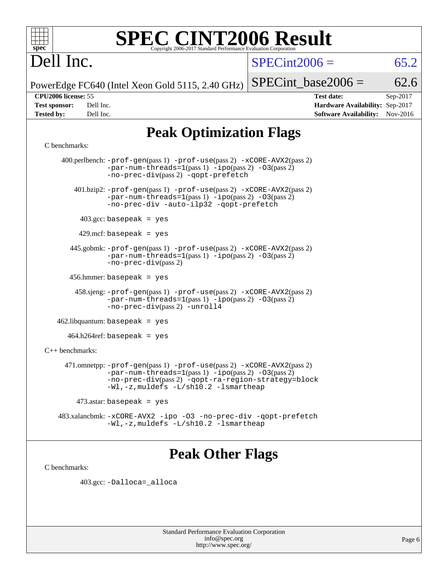

## Dell Inc.

 $SPECint2006 = 65.2$  $SPECint2006 = 65.2$ 

PowerEdge FC640 (Intel Xeon Gold 5115, 2.40 GHz)

SPECint base2006 =  $62.6$ 

**[CPU2006 license:](http://www.spec.org/auto/cpu2006/Docs/result-fields.html#CPU2006license)** 55 **[Test date:](http://www.spec.org/auto/cpu2006/Docs/result-fields.html#Testdate)** Sep-2017 **[Test sponsor:](http://www.spec.org/auto/cpu2006/Docs/result-fields.html#Testsponsor)** Dell Inc. **[Hardware Availability:](http://www.spec.org/auto/cpu2006/Docs/result-fields.html#HardwareAvailability)** Sep-2017 **[Tested by:](http://www.spec.org/auto/cpu2006/Docs/result-fields.html#Testedby)** Dell Inc. **[Software Availability:](http://www.spec.org/auto/cpu2006/Docs/result-fields.html#SoftwareAvailability)** Nov-2016

## **[Peak Optimization Flags](http://www.spec.org/auto/cpu2006/Docs/result-fields.html#PeakOptimizationFlags)**

### [C benchmarks](http://www.spec.org/auto/cpu2006/Docs/result-fields.html#Cbenchmarks):

 400.perlbench: [-prof-gen](http://www.spec.org/cpu2006/results/res2017q4/cpu2006-20170918-49917.flags.html#user_peakPASS1_CFLAGSPASS1_LDCFLAGS400_perlbench_prof_gen_e43856698f6ca7b7e442dfd80e94a8fc)(pass 1) [-prof-use](http://www.spec.org/cpu2006/results/res2017q4/cpu2006-20170918-49917.flags.html#user_peakPASS2_CFLAGSPASS2_LDCFLAGS400_perlbench_prof_use_bccf7792157ff70d64e32fe3e1250b55)(pass 2) [-xCORE-AVX2](http://www.spec.org/cpu2006/results/res2017q4/cpu2006-20170918-49917.flags.html#user_peakPASS2_CFLAGSPASS2_LDCFLAGS400_perlbench_f-xCORE-AVX2)(pass 2)  $-par-num-threads=1(pass 1) -ipo(pass 2) -O3(pass 2)$  $-par-num-threads=1(pass 1) -ipo(pass 2) -O3(pass 2)$  $-par-num-threads=1(pass 1) -ipo(pass 2) -O3(pass 2)$  $-par-num-threads=1(pass 1) -ipo(pass 2) -O3(pass 2)$  $-par-num-threads=1(pass 1) -ipo(pass 2) -O3(pass 2)$  $-par-num-threads=1(pass 1) -ipo(pass 2) -O3(pass 2)$ [-no-prec-div](http://www.spec.org/cpu2006/results/res2017q4/cpu2006-20170918-49917.flags.html#user_peakPASS2_CFLAGSPASS2_LDCFLAGS400_perlbench_f-no-prec-div)(pass 2) [-qopt-prefetch](http://www.spec.org/cpu2006/results/res2017q4/cpu2006-20170918-49917.flags.html#user_peakCOPTIMIZE400_perlbench_f-qopt-prefetch) 401.bzip2: [-prof-gen](http://www.spec.org/cpu2006/results/res2017q4/cpu2006-20170918-49917.flags.html#user_peakPASS1_CFLAGSPASS1_LDCFLAGS401_bzip2_prof_gen_e43856698f6ca7b7e442dfd80e94a8fc)(pass 1) [-prof-use](http://www.spec.org/cpu2006/results/res2017q4/cpu2006-20170918-49917.flags.html#user_peakPASS2_CFLAGSPASS2_LDCFLAGS401_bzip2_prof_use_bccf7792157ff70d64e32fe3e1250b55)(pass 2) [-xCORE-AVX2](http://www.spec.org/cpu2006/results/res2017q4/cpu2006-20170918-49917.flags.html#user_peakPASS2_CFLAGSPASS2_LDCFLAGS401_bzip2_f-xCORE-AVX2)(pass 2) [-par-num-threads=1](http://www.spec.org/cpu2006/results/res2017q4/cpu2006-20170918-49917.flags.html#user_peakPASS1_CFLAGSPASS1_LDCFLAGS401_bzip2_par_num_threads_786a6ff141b4e9e90432e998842df6c2)(pass 1) [-ipo](http://www.spec.org/cpu2006/results/res2017q4/cpu2006-20170918-49917.flags.html#user_peakPASS2_CFLAGSPASS2_LDCFLAGS401_bzip2_f-ipo)(pass 2) [-O3](http://www.spec.org/cpu2006/results/res2017q4/cpu2006-20170918-49917.flags.html#user_peakPASS2_CFLAGSPASS2_LDCFLAGS401_bzip2_f-O3)(pass 2) [-no-prec-div](http://www.spec.org/cpu2006/results/res2017q4/cpu2006-20170918-49917.flags.html#user_peakCOPTIMIZEPASS2_CFLAGSPASS2_LDCFLAGS401_bzip2_f-no-prec-div) [-auto-ilp32](http://www.spec.org/cpu2006/results/res2017q4/cpu2006-20170918-49917.flags.html#user_peakCOPTIMIZE401_bzip2_f-auto-ilp32) [-qopt-prefetch](http://www.spec.org/cpu2006/results/res2017q4/cpu2006-20170918-49917.flags.html#user_peakCOPTIMIZE401_bzip2_f-qopt-prefetch) 403.gcc: basepeak = yes  $429$ .mcf: basepeak = yes 445.gobmk: [-prof-gen](http://www.spec.org/cpu2006/results/res2017q4/cpu2006-20170918-49917.flags.html#user_peakPASS1_CFLAGSPASS1_LDCFLAGS445_gobmk_prof_gen_e43856698f6ca7b7e442dfd80e94a8fc)(pass 1) [-prof-use](http://www.spec.org/cpu2006/results/res2017q4/cpu2006-20170918-49917.flags.html#user_peakPASS2_CFLAGSPASS2_LDCFLAGS445_gobmk_prof_use_bccf7792157ff70d64e32fe3e1250b55)(pass 2) [-xCORE-AVX2](http://www.spec.org/cpu2006/results/res2017q4/cpu2006-20170918-49917.flags.html#user_peakPASS2_CFLAGSPASS2_LDCFLAGS445_gobmk_f-xCORE-AVX2)(pass 2)  $-par-num-threads=1(pass 1) -ipo(pass 2) -O3(pass 2)$  $-par-num-threads=1(pass 1) -ipo(pass 2) -O3(pass 2)$  $-par-num-threads=1(pass 1) -ipo(pass 2) -O3(pass 2)$  $-par-num-threads=1(pass 1) -ipo(pass 2) -O3(pass 2)$  $-par-num-threads=1(pass 1) -ipo(pass 2) -O3(pass 2)$  $-par-num-threads=1(pass 1) -ipo(pass 2) -O3(pass 2)$ [-no-prec-div](http://www.spec.org/cpu2006/results/res2017q4/cpu2006-20170918-49917.flags.html#user_peakPASS2_CFLAGSPASS2_LDCFLAGS445_gobmk_f-no-prec-div)(pass 2) 456.hmmer: basepeak = yes 458.sjeng: [-prof-gen](http://www.spec.org/cpu2006/results/res2017q4/cpu2006-20170918-49917.flags.html#user_peakPASS1_CFLAGSPASS1_LDCFLAGS458_sjeng_prof_gen_e43856698f6ca7b7e442dfd80e94a8fc)(pass 1) [-prof-use](http://www.spec.org/cpu2006/results/res2017q4/cpu2006-20170918-49917.flags.html#user_peakPASS2_CFLAGSPASS2_LDCFLAGS458_sjeng_prof_use_bccf7792157ff70d64e32fe3e1250b55)(pass 2) [-xCORE-AVX2](http://www.spec.org/cpu2006/results/res2017q4/cpu2006-20170918-49917.flags.html#user_peakPASS2_CFLAGSPASS2_LDCFLAGS458_sjeng_f-xCORE-AVX2)(pass 2)  $-par-num-threads=1(pass 1) -ipo(pass 2) -O3(pass 2)$  $-par-num-threads=1(pass 1) -ipo(pass 2) -O3(pass 2)$  $-par-num-threads=1(pass 1) -ipo(pass 2) -O3(pass 2)$  $-par-num-threads=1(pass 1) -ipo(pass 2) -O3(pass 2)$  $-par-num-threads=1(pass 1) -ipo(pass 2) -O3(pass 2)$  $-par-num-threads=1(pass 1) -ipo(pass 2) -O3(pass 2)$ [-no-prec-div](http://www.spec.org/cpu2006/results/res2017q4/cpu2006-20170918-49917.flags.html#user_peakPASS2_CFLAGSPASS2_LDCFLAGS458_sjeng_f-no-prec-div)(pass 2) [-unroll4](http://www.spec.org/cpu2006/results/res2017q4/cpu2006-20170918-49917.flags.html#user_peakCOPTIMIZE458_sjeng_f-unroll_4e5e4ed65b7fd20bdcd365bec371b81f)  $462$ .libquantum: basepeak = yes  $464.h264$ ref: basepeak = yes [C++ benchmarks:](http://www.spec.org/auto/cpu2006/Docs/result-fields.html#CXXbenchmarks) 471.omnetpp: [-prof-gen](http://www.spec.org/cpu2006/results/res2017q4/cpu2006-20170918-49917.flags.html#user_peakPASS1_CXXFLAGSPASS1_LDCXXFLAGS471_omnetpp_prof_gen_e43856698f6ca7b7e442dfd80e94a8fc)(pass 1) [-prof-use](http://www.spec.org/cpu2006/results/res2017q4/cpu2006-20170918-49917.flags.html#user_peakPASS2_CXXFLAGSPASS2_LDCXXFLAGS471_omnetpp_prof_use_bccf7792157ff70d64e32fe3e1250b55)(pass 2) [-xCORE-AVX2](http://www.spec.org/cpu2006/results/res2017q4/cpu2006-20170918-49917.flags.html#user_peakPASS2_CXXFLAGSPASS2_LDCXXFLAGS471_omnetpp_f-xCORE-AVX2)(pass 2) [-par-num-threads=1](http://www.spec.org/cpu2006/results/res2017q4/cpu2006-20170918-49917.flags.html#user_peakPASS1_CXXFLAGSPASS1_LDCXXFLAGS471_omnetpp_par_num_threads_786a6ff141b4e9e90432e998842df6c2)(pass 1) [-ipo](http://www.spec.org/cpu2006/results/res2017q4/cpu2006-20170918-49917.flags.html#user_peakPASS2_CXXFLAGSPASS2_LDCXXFLAGS471_omnetpp_f-ipo)(pass 2) [-O3](http://www.spec.org/cpu2006/results/res2017q4/cpu2006-20170918-49917.flags.html#user_peakPASS2_CXXFLAGSPASS2_LDCXXFLAGS471_omnetpp_f-O3)(pass 2) [-no-prec-div](http://www.spec.org/cpu2006/results/res2017q4/cpu2006-20170918-49917.flags.html#user_peakPASS2_CXXFLAGSPASS2_LDCXXFLAGS471_omnetpp_f-no-prec-div)(pass 2) [-qopt-ra-region-strategy=block](http://www.spec.org/cpu2006/results/res2017q4/cpu2006-20170918-49917.flags.html#user_peakCXXOPTIMIZE471_omnetpp_f-qopt-ra-region-strategy_0f7b543d62da454b380160c0e3b28f94) [-Wl,-z,muldefs](http://www.spec.org/cpu2006/results/res2017q4/cpu2006-20170918-49917.flags.html#user_peakEXTRA_LDFLAGS471_omnetpp_link_force_multiple1_74079c344b956b9658436fd1b6dd3a8a) [-L/sh10.2 -lsmartheap](http://www.spec.org/cpu2006/results/res2017q4/cpu2006-20170918-49917.flags.html#user_peakEXTRA_LIBS471_omnetpp_SmartHeap_b831f2d313e2fffa6dfe3f00ffc1f1c0)  $473$ .astar: basepeak = yes 483.xalancbmk: [-xCORE-AVX2](http://www.spec.org/cpu2006/results/res2017q4/cpu2006-20170918-49917.flags.html#user_peakOPTIMIZE483_xalancbmk_f-xCORE-AVX2) [-ipo](http://www.spec.org/cpu2006/results/res2017q4/cpu2006-20170918-49917.flags.html#user_peakOPTIMIZE483_xalancbmk_f-ipo) [-O3](http://www.spec.org/cpu2006/results/res2017q4/cpu2006-20170918-49917.flags.html#user_peakOPTIMIZE483_xalancbmk_f-O3) [-no-prec-div](http://www.spec.org/cpu2006/results/res2017q4/cpu2006-20170918-49917.flags.html#user_peakOPTIMIZE483_xalancbmk_f-no-prec-div) [-qopt-prefetch](http://www.spec.org/cpu2006/results/res2017q4/cpu2006-20170918-49917.flags.html#user_peakCXXOPTIMIZE483_xalancbmk_f-qopt-prefetch) [-Wl,-z,muldefs](http://www.spec.org/cpu2006/results/res2017q4/cpu2006-20170918-49917.flags.html#user_peakEXTRA_LDFLAGS483_xalancbmk_link_force_multiple1_74079c344b956b9658436fd1b6dd3a8a) [-L/sh10.2 -lsmartheap](http://www.spec.org/cpu2006/results/res2017q4/cpu2006-20170918-49917.flags.html#user_peakEXTRA_LIBS483_xalancbmk_SmartHeap_b831f2d313e2fffa6dfe3f00ffc1f1c0)

### **[Peak Other Flags](http://www.spec.org/auto/cpu2006/Docs/result-fields.html#PeakOtherFlags)**

[C benchmarks](http://www.spec.org/auto/cpu2006/Docs/result-fields.html#Cbenchmarks):

403.gcc: [-Dalloca=\\_alloca](http://www.spec.org/cpu2006/results/res2017q4/cpu2006-20170918-49917.flags.html#b403.gcc_peakEXTRA_CFLAGS_Dalloca_be3056838c12de2578596ca5467af7f3)